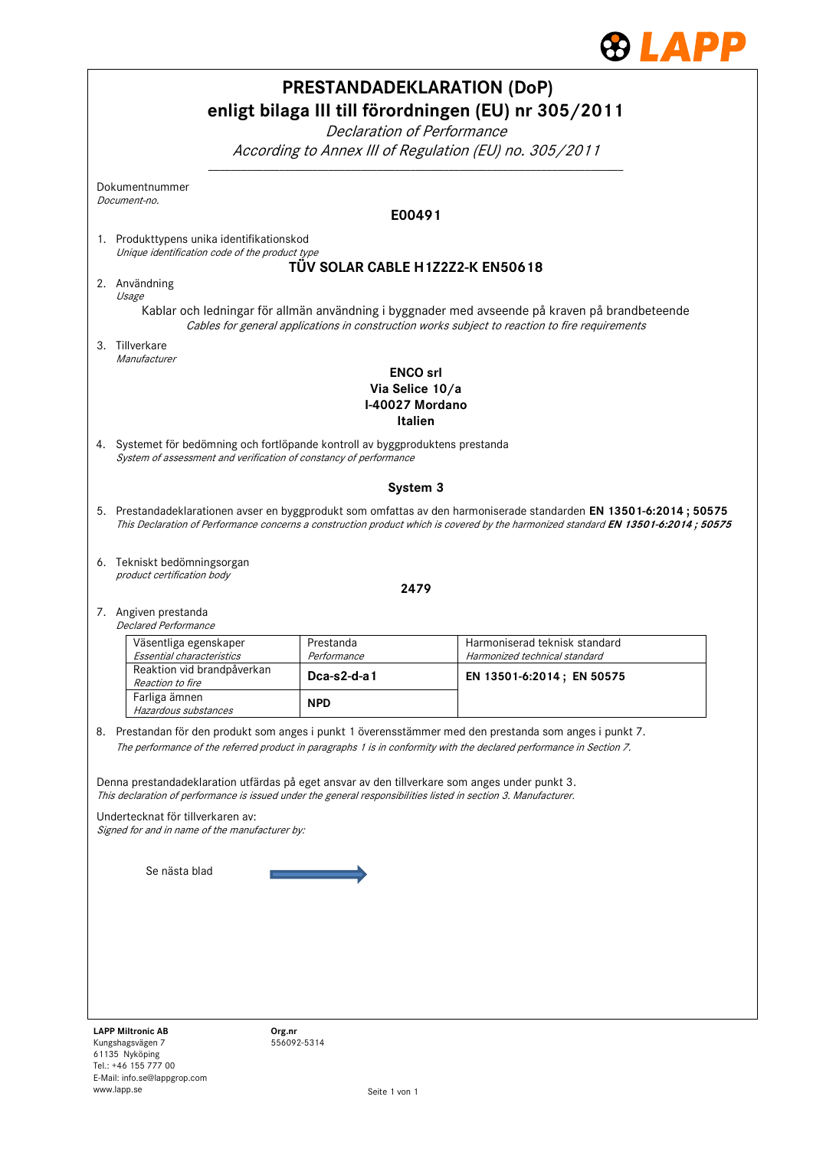

|                                                                                                                                                                                                                   |                                                       | <b>PRESTANDADEKLARATION (DoP)</b><br>enligt bilaga III till förordningen (EU) nr 305/2011                                                                                                                                                                |  |
|-------------------------------------------------------------------------------------------------------------------------------------------------------------------------------------------------------------------|-------------------------------------------------------|----------------------------------------------------------------------------------------------------------------------------------------------------------------------------------------------------------------------------------------------------------|--|
|                                                                                                                                                                                                                   |                                                       | <b>Declaration of Performance</b><br>According to Annex III of Regulation (EU) no. 305/2011                                                                                                                                                              |  |
| Dokumentnummer<br>Document-no.                                                                                                                                                                                    |                                                       |                                                                                                                                                                                                                                                          |  |
|                                                                                                                                                                                                                   | E00491                                                |                                                                                                                                                                                                                                                          |  |
| 1. Produkttypens unika identifikationskod<br>Unique identification code of the product type                                                                                                                       |                                                       |                                                                                                                                                                                                                                                          |  |
| 2. Användning<br>Usage                                                                                                                                                                                            |                                                       | TÜV SOLAR CABLE H1Z2Z2-K EN50618                                                                                                                                                                                                                         |  |
|                                                                                                                                                                                                                   |                                                       | Kablar och ledningar för allmän användning i byggnader med avseende på kraven på brandbeteende<br>Cables for general applications in construction works subject to reaction to fire requirements                                                         |  |
| 3. Tillverkare<br>Manufacturer                                                                                                                                                                                    |                                                       |                                                                                                                                                                                                                                                          |  |
|                                                                                                                                                                                                                   | <b>ENCO</b> srl<br>Via Selice 10/a<br>I-40027 Mordano | <b>Italien</b>                                                                                                                                                                                                                                           |  |
| 4. Systemet för bedömning och fortlöpande kontroll av byggproduktens prestanda<br>System of assessment and verification of constancy of performance                                                               |                                                       |                                                                                                                                                                                                                                                          |  |
|                                                                                                                                                                                                                   | System 3                                              |                                                                                                                                                                                                                                                          |  |
|                                                                                                                                                                                                                   |                                                       | 5. Prestandadeklarationen avser en byggprodukt som omfattas av den harmoniserade standarden EN 13501-6:2014; 50575<br>This Declaration of Performance concerns a construction product which is covered by the harmonized standard EN 13501-6:2014; 50575 |  |
| 6. Tekniskt bedömningsorgan<br>product certification body                                                                                                                                                         |                                                       | 2479                                                                                                                                                                                                                                                     |  |
| 7. Angiven prestanda<br><b>Declared Performance</b>                                                                                                                                                               |                                                       |                                                                                                                                                                                                                                                          |  |
| Väsentliga egenskaper<br>Essential characteristics                                                                                                                                                                | Prestanda<br>Performance                              | Harmoniserad teknisk standard<br>Harmonized technical standard                                                                                                                                                                                           |  |
| Reaktion vid brandpåverkan<br><i>Reaction to fire</i>                                                                                                                                                             | Dca-s2-d-a1                                           | EN 13501-6:2014; EN 50575                                                                                                                                                                                                                                |  |
| Farliga ämnen<br>Hazardous substances                                                                                                                                                                             | <b>NPD</b>                                            |                                                                                                                                                                                                                                                          |  |
|                                                                                                                                                                                                                   |                                                       | 8. Prestandan för den produkt som anges i punkt 1 överensstämmer med den prestanda som anges i punkt 7.<br>The performance of the referred product in paragraphs 1 is in conformity with the declared performance in Section 7.                          |  |
| Denna prestandadeklaration utfärdas på eget ansvar av den tillverkare som anges under punkt 3.<br>This declaration of performance is issued under the general responsibilities listed in section 3. Manufacturer. |                                                       |                                                                                                                                                                                                                                                          |  |
| Undertecknat för tillverkaren av:<br>Signed for and in name of the manufacturer by:                                                                                                                               |                                                       |                                                                                                                                                                                                                                                          |  |
|                                                                                                                                                                                                                   |                                                       |                                                                                                                                                                                                                                                          |  |
| Se nästa blad                                                                                                                                                                                                     |                                                       |                                                                                                                                                                                                                                                          |  |
|                                                                                                                                                                                                                   |                                                       |                                                                                                                                                                                                                                                          |  |
|                                                                                                                                                                                                                   |                                                       |                                                                                                                                                                                                                                                          |  |
|                                                                                                                                                                                                                   |                                                       |                                                                                                                                                                                                                                                          |  |
|                                                                                                                                                                                                                   |                                                       |                                                                                                                                                                                                                                                          |  |
| <b>LAPP Miltronic AB</b><br>Org.nr                                                                                                                                                                                |                                                       |                                                                                                                                                                                                                                                          |  |